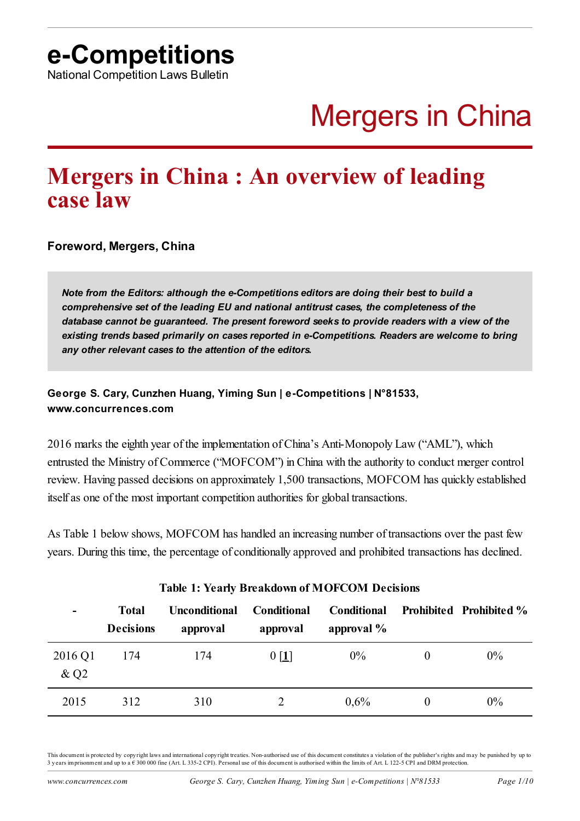National Competition Laws Bulletin

# Mergers in China

# **Mergers in China : An overview of leading case law**

**Foreword, Mergers, China**

*Note from the Editors: although the e-Competitions editors are doing their best to build a comprehensive set of the leading EU and national antitrust cases, the completeness of the database cannot be guaranteed. The present foreword seeks to provide readers with a view of the existing trends based primarily on cases reported in e-Competitions. Readers are welcome to bring any other relevant cases to the attention of the editors.*

**George S. Cary, Cunzhen Huang, Yiming Sun | e-Competitions | N°81533, www.concurrences.com**

2016 marks the eighth year of the implementation of China's Anti-Monopoly Law ("AML"), which entrusted the Ministry of Commerce ("MOFCOM") in China with the authority to conduct merger control review. Having passed decisions on approximately 1,500 transactions, MOFCOM has quickly established itself as one of the most important competition authorities for global transactions.

As Table 1 below shows, MOFCOM has handled an increasing number of transactions over the past few years. During this time, the percentage of conditionally approved and prohibited transactions has declined.

| -                             | <b>Total</b><br><b>Decisions</b> | <b>Unconditional</b><br>approval | <b>Conditional</b><br>approval | <b>Conditional</b><br>approval % |   | <b>Prohibited Prohibited %</b> |
|-------------------------------|----------------------------------|----------------------------------|--------------------------------|----------------------------------|---|--------------------------------|
| 2016 Q1<br>$&$ Q <sub>2</sub> | 174                              | 174                              | $0$ [1]                        | $0\%$                            |   | $0\%$                          |
| 2015                          | 312                              | 310                              |                                | $0.6\%$                          | 0 | $0\%$                          |

#### <span id="page-0-0"></span>**Table 1: Yearly Breakdown of MOFCOM Decisions**

This document is protected by copy right laws and international copy right treaties. Non-authorised use of this document constitutes a violation of the publisher's rights and may be punished by up to 3 y ears imprisonment and up to a € 300 000 fine (Art. L 335-2 CPI). Personal use of this document is authorised within the limits of Art. L 122-5 CPI and DRM protection.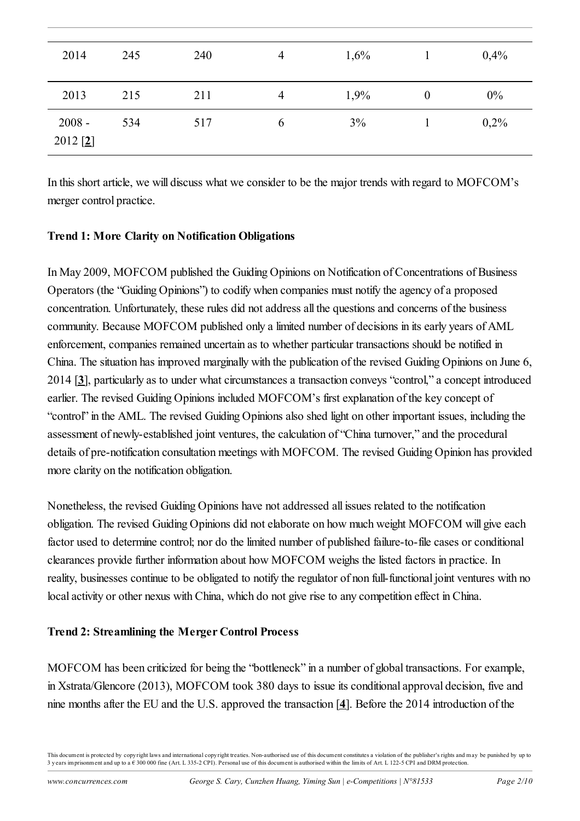| 2014                   | 245 | 240 | 4              | 1,6% |          | 0,4% |
|------------------------|-----|-----|----------------|------|----------|------|
| 2013                   | 215 | 211 | $\overline{4}$ | 1,9% | $\theta$ | 0%   |
| $2008 -$<br>$2012$ [2] | 534 | 517 | $\mathfrak b$  | 3%   |          | 0,2% |

<span id="page-1-0"></span>In this short article, we will discuss what we consider to be the major trends with regard to MOFCOM's merger control practice.

#### **Trend 1: More Clarity on Notification Obligations**

<span id="page-1-1"></span>In May 2009, MOFCOM published the Guiding Opinions on Notification of Concentrations of Business Operators (the "Guiding Opinions") to codify when companies must notify the agency of a proposed concentration. Unfortunately, these rules did not address all the questions and concerns of the business community. Because MOFCOM published only a limited number of decisions in its early years of AML enforcement, companies remained uncertain as to whether particular transactions should be notified in China. The situation has improved marginally with the publication of the revised Guiding Opinions on June 6, 2014 [**[3](#page-7-2)**], particularly as to under what circumstances a transaction conveys "control," a concept introduced earlier. The revised Guiding Opinions included MOFCOM's first explanation of the key concept of "control" in the AML. The revised Guiding Opinions also shed light on other important issues, including the assessment of newly-established joint ventures, the calculation of "China turnover," and the procedural details of pre-notification consultation meetings with MOFCOM. The revised Guiding Opinion has provided more clarity on the notification obligation.

Nonetheless, the revised Guiding Opinions have not addressed all issues related to the notification obligation. The revised Guiding Opinions did not elaborate on how much weight MOFCOM will give each factor used to determine control; nor do the limited number of published failure-to-file cases or conditional clearances provide further information about how MOFCOM weighs the listed factors in practice. In reality, businesses continue to be obligated to notify the regulator of non full-functional joint ventures with no local activity or other nexus with China, which do not give rise to any competition effect in China.

# **Trend 2: Streamlining the Merger Control Process**

<span id="page-1-2"></span>MOFCOM has been criticized for being the "bottleneck" in a number of global transactions. For example, in Xstrata/Glencore (2013), MOFCOM took 380 days to issue its conditional approval decision, five and nine months after the EU and the U.S. approved the transaction [**[4](#page-7-3)**]. Before the 2014 introduction of the

This document is protected by copy right laws and international copy right treaties. Non-authorised use of this document constitutes a violation of the publisher's rights and may be punished by up to 3 years imprisonment and up to a  $\epsilon$  300 000 fine (Art. L 335-2 CPI). Personal use of this document is authorised within the limits of Art. L 122-5 CPI and DRM protection.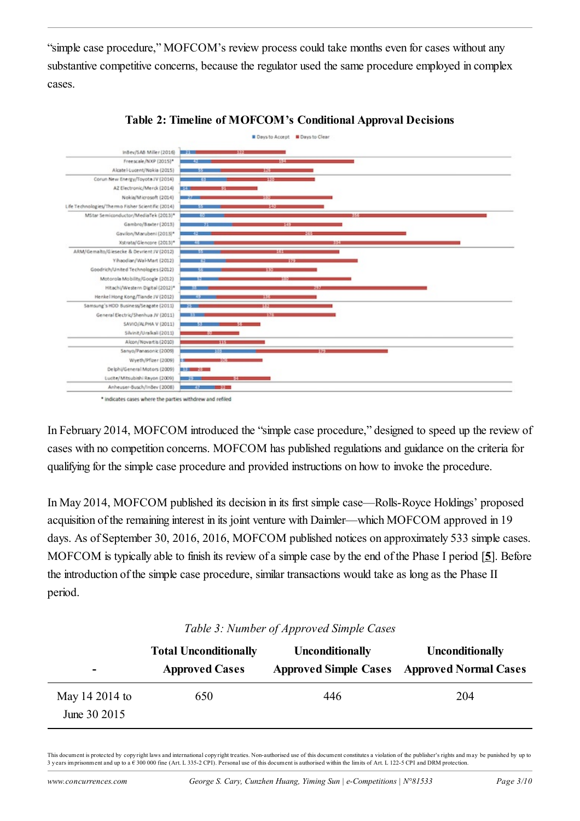"simple case procedure," MOFCOM's review process could take months even for cases without any substantive competitive concerns, because the regulator used the same procedure employed in complex cases.





\* indicates cases where the parties withdrew and refiled

In February 2014, MOFCOM introduced the "simple case procedure," designed to speed up the review of cases with no competition concerns. MOFCOM has published regulations and guidance on the criteria for qualifying for the simple case procedure and provided instructions on how to invoke the procedure.

In May 2014, MOFCOM published its decision in its first simple case—Rolls-Royce Holdings' proposed acquisition of the remaining interest in its joint venture with Daimler—which MOFCOM approved in 19 days. As of September 30, 2016, 2016, MOFCOM published notices on approximately 533 simple cases. MOFCOM is typically able to finish its review of a simple case by the end of the Phase I period [**[5](#page-8-0)**]. Before the introduction of the simple case procedure, similar transactions would take as long as the Phase II period.

| $\overline{\phantom{0}}$       | <b>Total Unconditionally</b><br><b>Approved Cases</b> | <b>Unconditionally</b> | <b>Unconditionally</b><br><b>Approved Simple Cases Approved Normal Cases</b> |
|--------------------------------|-------------------------------------------------------|------------------------|------------------------------------------------------------------------------|
| May 14 2014 to<br>June 30 2015 | 650                                                   | 446                    | 204                                                                          |

#### <span id="page-2-0"></span>*Table 3: Number of Approved Simple Cases*

This document is protected by copy right laws and international copy right treaties. Non-authorised use of this document constitutes a violation of the publisher's rights and may be punished by up to 3 years imprisonment and up to a  $\epsilon$  300 000 fine (Art. L 335-2 CPI). Personal use of this document is authorised within the limits of Art. L 122-5 CPI and DRM protection.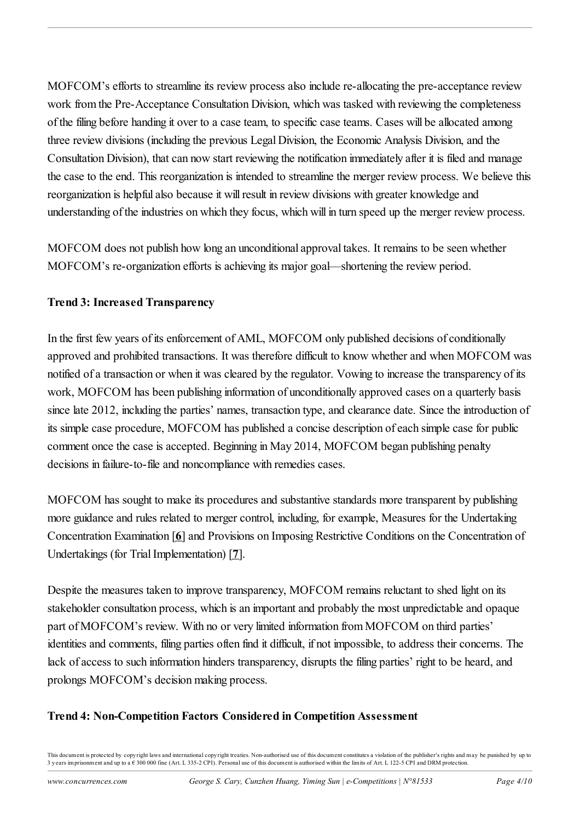MOFCOM's efforts to streamline its review process also include re-allocating the pre-acceptance review work from the Pre-Acceptance Consultation Division, which was tasked with reviewing the completeness of the filing before handing it over to a case team, to specific case teams. Cases will be allocated among three review divisions (including the previous Legal Division, the Economic Analysis Division, and the Consultation Division), that can now start reviewing the notification immediately after it is filed and manage the case to the end. This reorganization is intended to streamline the merger review process. We believe this reorganization is helpful also because it will result in review divisions with greater knowledge and understanding of the industries on which they focus, which will in turn speed up the merger review process.

MOFCOM does not publish how long an unconditional approval takes. It remains to be seen whether MOFCOM's re-organization efforts is achieving its major goal—shortening the review period.

# **Trend 3: Increased Transparency**

In the first few years of its enforcement of AML, MOFCOM only published decisions of conditionally approved and prohibited transactions. It was therefore difficult to know whether and when MOFCOM was notified of a transaction or when it was cleared by the regulator. Vowing to increase the transparency of its work, MOFCOM has been publishing information of unconditionally approved cases on a quarterly basis since late 2012, including the parties' names, transaction type, and clearance date. Since the introduction of its simple case procedure, MOFCOM has published a concise description of each simple case for public comment once the case is accepted. Beginning in May 2014, MOFCOM began publishing penalty decisions in failure-to-file and noncompliance with remedies cases.

<span id="page-3-0"></span>MOFCOM has sought to make its procedures and substantive standards more transparent by publishing more guidance and rules related to merger control, including, for example, Measures for the Undertaking Concentration Examination [**[6](#page-8-1)**] and Provisions on Imposing Restrictive Conditions on the Concentration of Undertakings (for Trial Implementation) [**[7](#page-8-2)**].

<span id="page-3-1"></span>Despite the measures taken to improve transparency, MOFCOM remains reluctant to shed light on its stakeholder consultation process, which is an important and probably the most unpredictable and opaque part of MOFCOM's review. With no or very limited information from MOFCOM on third parties' identities and comments, filing parties often find it difficult, if not impossible, to address their concerns. The lack of access to such information hinders transparency, disrupts the filing parties' right to be heard, and prolongs MOFCOM's decision making process.

# **Trend 4: Non-Competition Factors Considered in Competition Assessment**

This document is protected by copy right laws and international copy right treaties. Non-authorised use of this document constitutes a violation of the publisher's rights and may be punished by up to 3 years imprisonment and up to a  $\epsilon$  300 000 fine (Art. L 335-2 CPI). Personal use of this document is authorised within the limits of Art. L 122-5 CPI and DRM protection.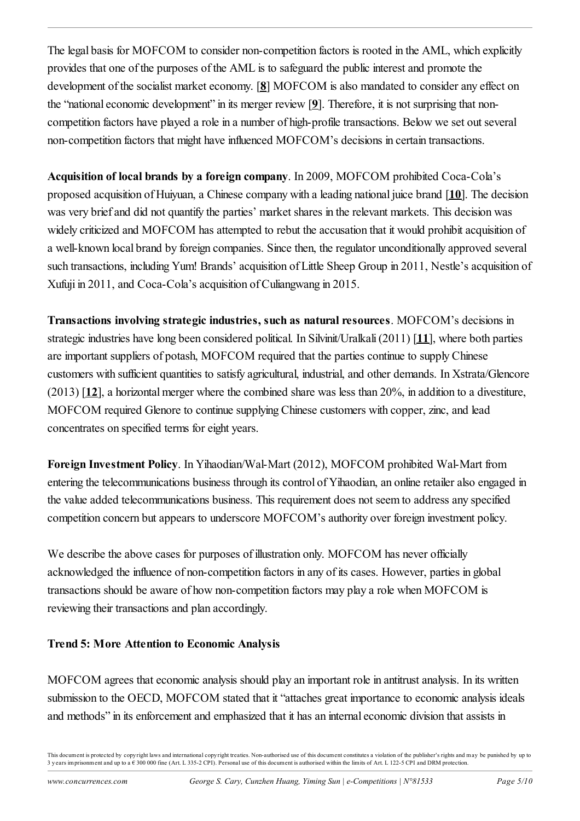<span id="page-4-1"></span><span id="page-4-0"></span>The legal basis for MOFCOM to consider non-competition factors is rooted in the AML, which explicitly provides that one of the purposes of the AML is to safeguard the public interest and promote the development of the socialist market economy. [**[8](#page-8-3)**] MOFCOM is also mandated to consider any effect on the "national economic development" in its merger review [**[9](#page-8-4)**]. Therefore, it is not surprising that noncompetition factors have played a role in a number of high-profile transactions. Below we set out several non-competition factors that might have influenced MOFCOM's decisions in certain transactions.

<span id="page-4-2"></span>**Acquisition of local brands by a foreign company**. In 2009, MOFCOM prohibited Coca-Cola's proposed acquisition of Huiyuan, a Chinese company with a leading national juice brand [**[10](#page-8-5)**]. The decision was very brief and did not quantify the parties' market shares in the relevant markets. This decision was widely criticized and MOFCOM has attempted to rebut the accusation that it would prohibit acquisition of a well-known local brand by foreign companies. Since then, the regulator unconditionally approved several such transactions, including Yum! Brands' acquisition of Little Sheep Group in 2011, Nestle's acquisition of Xufuji in 2011, and Coca-Cola's acquisition of Culiangwang in 2015.

<span id="page-4-4"></span><span id="page-4-3"></span>**Transactions involving strategic industries, such as natural resources**. MOFCOM's decisions in strategic industries have long been considered political. In Silvinit/Uralkali (2011) [**[11](#page-8-6)**], where both parties are important suppliers of potash, MOFCOM required that the parties continue to supply Chinese customers with sufficient quantities to satisfy agricultural, industrial, and other demands. In Xstrata/Glencore (2013) [**[12](#page-8-7)**], a horizontal merger where the combined share was less than 20%, in addition to a divestiture, MOFCOM required Glenore to continue supplying Chinese customers with copper, zinc, and lead concentrates on specified terms for eight years.

**Foreign Investment Policy**. In Yihaodian/Wal-Mart (2012), MOFCOM prohibited Wal-Mart from entering the telecommunications business through its control of Yihaodian, an online retailer also engaged in the value added telecommunications business. This requirement does not seem to address any specified competition concern but appears to underscore MOFCOM's authority over foreign investment policy.

We describe the above cases for purposes of illustration only. MOFCOM has never officially acknowledged the influence of non-competition factors in any of its cases. However, parties in global transactions should be aware of how non-competition factors may play a role when MOFCOM is reviewing their transactions and plan accordingly.

# **Trend 5: More Attention to Economic Analysis**

MOFCOM agrees that economic analysis should play an important role in antitrust analysis. In its written submission to the OECD, MOFCOM stated that it "attaches great importance to economic analysis ideals and methods" in its enforcement and emphasized that it has an internal economic division that assists in

This document is protected by copy right laws and international copy right treaties. Non-authorised use of this document constitutes a violation of the publisher's rights and may be punished by up to 3 years imprisonment and up to a € 300 000 fine (Art. L 335-2 CPI). Personal use of this document is authorised within the limits of Art. L 122-5 CPI and DRM protection.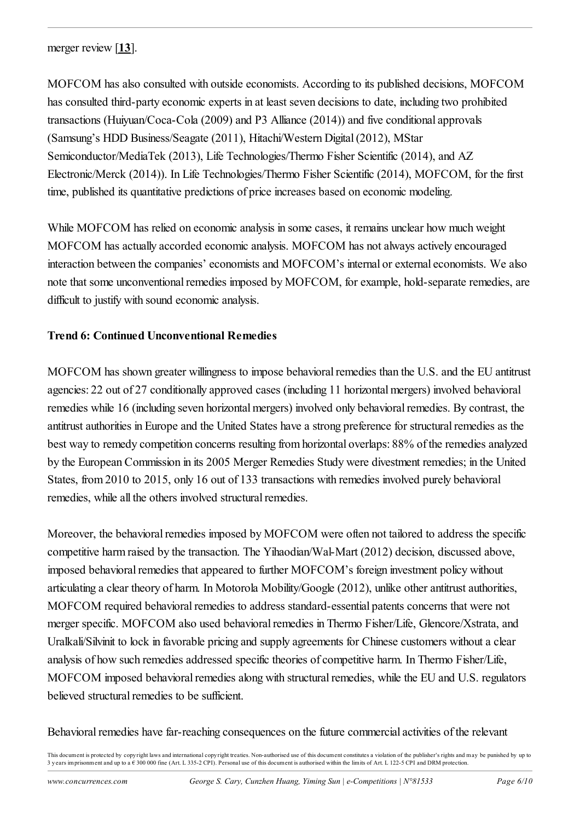<span id="page-5-0"></span>merger review [**[13](#page-9-0)**].

MOFCOM has also consulted with outside economists. According to its published decisions, MOFCOM has consulted third-party economic experts in at least seven decisions to date, including two prohibited transactions (Huiyuan/Coca-Cola (2009) and P3 Alliance (2014)) and five conditional approvals (Samsung's HDD Business/Seagate (2011), Hitachi/Western Digital (2012), MStar Semiconductor/MediaTek (2013), Life Technologies/Thermo Fisher Scientific (2014), and AZ Electronic/Merck (2014)). In Life Technologies/Thermo Fisher Scientific (2014), MOFCOM, for the first time, published its quantitative predictions of price increases based on economic modeling.

While MOFCOM has relied on economic analysis in some cases, it remains unclear how much weight MOFCOM has actually accorded economic analysis. MOFCOM has not always actively encouraged interaction between the companies' economists and MOFCOM's internal or external economists. We also note that some unconventional remedies imposed by MOFCOM, for example, hold-separate remedies, are difficult to justify with sound economic analysis.

#### **Trend 6: Continued Unconventional Remedies**

MOFCOM has shown greater willingness to impose behavioral remedies than the U.S. and the EU antitrust agencies: 22 out of 27 conditionally approved cases (including 11 horizontal mergers) involved behavioral remedies while 16 (including seven horizontal mergers) involved only behavioral remedies. By contrast, the antitrust authorities in Europe and the United States have a strong preference for structural remedies as the best way to remedy competition concerns resulting from horizontal overlaps: 88% of the remedies analyzed by the European Commission in its 2005 Merger Remedies Study were divestment remedies; in the United States, from 2010 to 2015, only 16 out of 133 transactions with remedies involved purely behavioral remedies, while all the others involved structural remedies.

Moreover, the behavioral remedies imposed by MOFCOM were often not tailored to address the specific competitive harm raised by the transaction. The Yihaodian/Wal-Mart (2012) decision, discussed above, imposed behavioral remedies that appeared to further MOFCOM's foreign investment policy without articulating a clear theory of harm. In Motorola Mobility/Google (2012), unlike other antitrust authorities, MOFCOM required behavioral remedies to address standard-essential patents concerns that were not merger specific. MOFCOM also used behavioral remedies in Thermo Fisher/Life, Glencore/Xstrata, and Uralkali/Silvinit to lock in favorable pricing and supply agreements for Chinese customers without a clear analysis of how such remedies addressed specific theories of competitive harm. In Thermo Fisher/Life, MOFCOM imposed behavioral remedies along with structural remedies, while the EU and U.S. regulators believed structural remedies to be sufficient.

Behavioral remedies have far-reaching consequences on the future commercial activities of the relevant

This document is protected by copy right laws and international copy right treaties. Non-authorised use of this document constitutes a violation of the publisher's rights and may be punished by up to 3 years imprisonment and up to a  $\epsilon$  300 000 fine (Art. L 335-2 CPI). Personal use of this document is authorised within the limits of Art. L 122-5 CPI and DRM protection.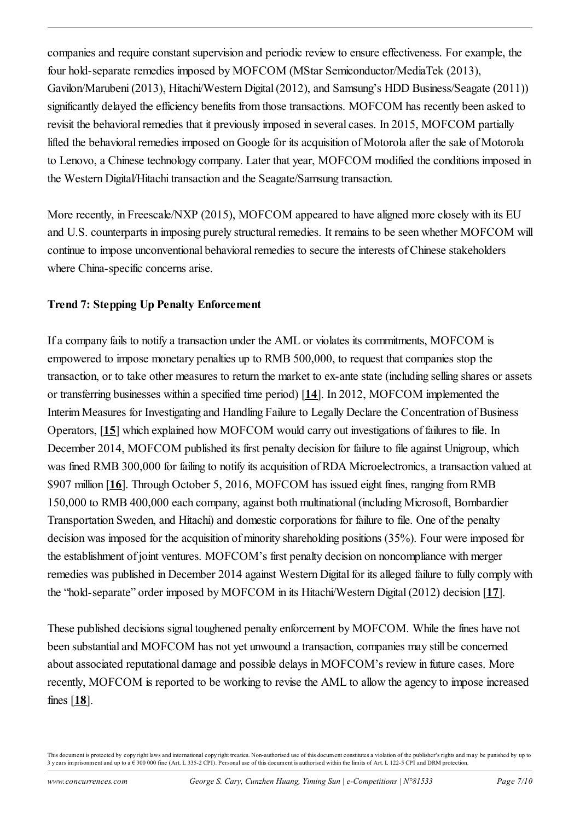companies and require constant supervision and periodic review to ensure effectiveness. For example, the four hold-separate remedies imposed by MOFCOM (MStar Semiconductor/MediaTek (2013), Gavilon/Marubeni (2013), Hitachi/Western Digital (2012), and Samsung's HDD Business/Seagate (2011)) significantly delayed the efficiency benefits from those transactions. MOFCOM has recently been asked to revisit the behavioral remedies that it previously imposed in several cases. In 2015, MOFCOM partially lifted the behavioral remedies imposed on Google for its acquisition of Motorola after the sale of Motorola to Lenovo, a Chinese technology company. Later that year, MOFCOM modified the conditions imposed in the Western Digital/Hitachi transaction and the Seagate/Samsung transaction.

More recently, in Freescale/NXP (2015), MOFCOM appeared to have aligned more closely with its EU and U.S. counterparts in imposing purely structural remedies. It remains to be seen whether MOFCOM will continue to impose unconventional behavioral remedies to secure the interests of Chinese stakeholders where China-specific concerns arise.

# **Trend 7: Stepping Up Penalty Enforcement**

<span id="page-6-1"></span><span id="page-6-0"></span>If a company fails to notify a transaction under the AML or violates its commitments, MOFCOM is empowered to impose monetary penalties up to RMB 500,000, to request that companies stop the transaction, or to take other measures to return the market to ex-ante state (including selling shares or assets or transferring businesses within a specified time period) [**[14](#page-9-1)**]. In 2012, MOFCOM implemented the Interim Measures for Investigating and Handling Failure to Legally Declare the Concentration of Business Operators, [**[15](#page-9-2)**] which explained how MOFCOM would carry out investigations of failures to file. In December 2014, MOFCOM published its first penalty decision for failure to file against Unigroup, which was fined RMB 300,000 for failing to notify its acquisition of RDA Microelectronics, a transaction valued at \$907 million [**[16](#page-9-3)**]. Through October 5, 2016, MOFCOM has issued eight fines, ranging from RMB 150,000 to RMB 400,000 each company, against both multinational (including Microsoft, Bombardier Transportation Sweden, and Hitachi) and domestic corporations for failure to file. One of the penalty decision was imposed for the acquisition of minority shareholding positions (35%). Four were imposed for the establishment of joint ventures. MOFCOM's first penalty decision on noncompliance with merger remedies was published in December 2014 against Western Digital for its alleged failure to fully comply with the "hold-separate" order imposed by MOFCOM in its Hitachi/Western Digital (2012) decision [**[17](#page-9-4)**].

<span id="page-6-3"></span><span id="page-6-2"></span>These published decisions signal toughened penalty enforcement by MOFCOM. While the fines have not been substantial and MOFCOM has not yet unwound a transaction, companies may still be concerned about associated reputational damage and possible delays in MOFCOM's review in future cases. More recently, MOFCOM is reported to be working to revise the AML to allow the agency to impose increased fines [**[18](#page-9-5)**].

<span id="page-6-4"></span>This document is protected by copy right laws and international copy right treaties. Non-authorised use of this document constitutes a violation of the publisher's rights and may be punished by up to 3 years imprisonment and up to a  $\epsilon$  300 000 fine (Art. L 335-2 CPI). Personal use of this document is authorised within the limits of Art. L 122-5 CPI and DRM protection.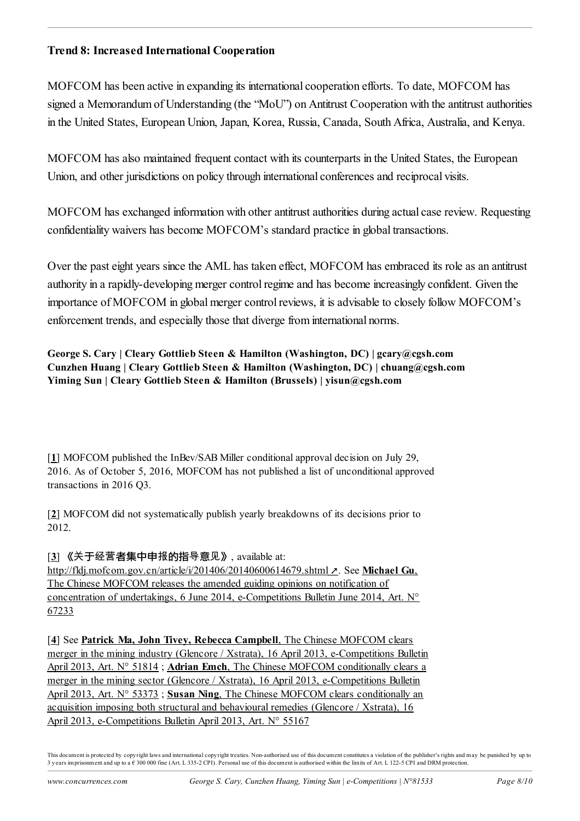# **Trend 8: Increased International Cooperation**

MOFCOM has been active in expanding its international cooperation efforts. To date, MOFCOM has signed a Memorandum of Understanding (the "MoU") on Antitrust Cooperation with the antitrust authorities in the United States, European Union, Japan, Korea, Russia, Canada, South Africa, Australia, and Kenya.

MOFCOM has also maintained frequent contact with its counterparts in the United States, the European Union, and other jurisdictions on policy through international conferences and reciprocal visits.

MOFCOM has exchanged information with other antitrust authorities during actual case review. Requesting confidentiality waivers has become MOFCOM's standard practice in global transactions.

Over the past eight years since the AML has taken effect, MOFCOM has embraced its role as an antitrust authority in a rapidly-developing merger control regime and has become increasingly confident. Given the importance of MOFCOM in global merger control reviews, it is advisable to closely follow MOFCOM's enforcement trends, and especially those that diverge from international norms.

**George S. Cary | Cleary Gottlieb Steen & Hamilton (Washington, DC) | gcary@cgsh.com Cunzhen Huang | Cleary Gottlieb Steen & Hamilton (Washington, DC) | chuang@cgsh.com Yiming Sun | Cleary Gottlieb Steen & Hamilton (Brussels) | yisun@cgsh.com**

<span id="page-7-0"></span>[**[1](#page-0-0)**] MOFCOM published the InBev/SAB Miller conditional approval decision on July 29, 2016. As of October 5, 2016, MOFCOM has not published a list of unconditional approved transactions in 2016 Q3.

<span id="page-7-1"></span>[**[2](#page-1-0)**] MOFCOM did not systematically publish yearly breakdowns of its decisions prior to 2012.

<span id="page-7-2"></span>[**[3](#page-1-1)**] 《关于经营者集中申报的指导意见》, available at:

<http://fldj.mofcom.gov.cn/article/i/201406/20140600614679.shtml> **.** See **Michael Gu**, The Chinese MOFCOM releases the amended guiding opinions on notification of [concentration of undertakings, 6 June 2014, e-Competitions Bulletin June 2014, Art. N°](https://www.concurrences.com/bulletin/news-issues/june-2014/the-chinese-mofcom-releases-the-amended-guiding-opinions-on-notification-of) 67233

<span id="page-7-3"></span>[**[4](#page-1-2)**] See **Patrick Ma, John Tivey, Rebecca Campbell**, The Chinese MOFCOM clears [merger in the mining industry \(Glencore / Xstrata\), 16 April 2013, e-Competitions Bulletin](https://www.concurrences.com/bulletin/news-issues/april-2013/the-chinese-mofcom-clears-merger-in-the-mining-industry-glencore-xstrata) April 2013, Art. N° 51814 ; **Adrian Emch**, The Chinese MOFCOM conditionally clears a [merger in the mining sector \(Glencore / Xstrata\), 16 April 2013, e-Competitions Bulletin](https://www.concurrences.com/bulletin/news-issues/april-2013/the-chinese-mofcom-conditionally-clears-a-merger-in-the-mining-sector-glencore) April 2013, Art. N° 53373 ; **Susan Ning**, The Chinese MOFCOM clears conditionally an [acquisition imposing both structural and behavioural remedies \(Glencore / Xstrata\), 16](https://www.concurrences.com/bulletin/news-issues/april-2013/the-chinese-mofcom-clears-conditionally-an-acquisition-imposing-both-structural) April 2013, e-Competitions Bulletin April 2013, Art. N° 55167

This document is protected by copy right laws and international copy right treaties. Non-authorised use of this document constitutes a violation of the publisher's rights and may be punished by up to 3 y ears imprisonment and up to a € 300 000 fine (Art. L 335-2 CPI). Personal use of this document is authorised within the limits of Art. L 122-5 CPI and DRM protection.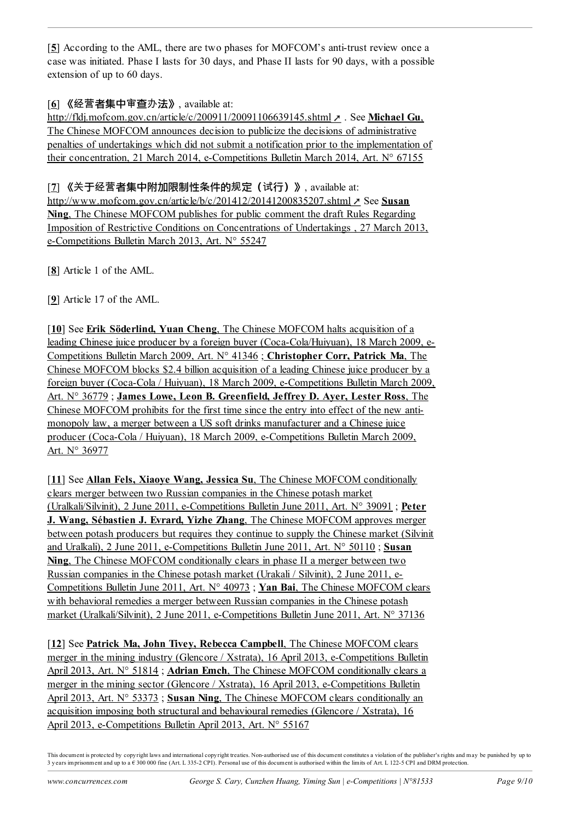<span id="page-8-0"></span>[**[5](#page-2-0)**] According to the AML, there are two phases for MOFCOM's anti-trust review once a case was initiated. Phase I lasts for 30 days, and Phase II lasts for 90 days, with a possible extension of up to 60 days.

#### <span id="page-8-1"></span>[**[6](#page-3-0)**] 《经营者集中审查办法》, available at:

<http://fldj.mofcom.gov.cn/article/c/200911/20091106639145.shtml> **. See Michael Gu.** The Chinese MOFCOM announces decision to publicize the decisions of administrative [penalties of undertakings which did not submit a notification prior to the implementation of](https://www.concurrences.com/bulletin/news-issues/march-2014/the-chinese-mofcom-announces-decision-to-publicize-the-decisions-of) their concentration, 21 March 2014, e-Competitions Bulletin March 2014, Art. N° 67155

<span id="page-8-2"></span>[**[7](#page-3-1)**] 《关于经营者集中附加限制性条件的规定(试行)》, available at: <http://www.mofcom.gov.cn/article/b/c/201412/20141200835207.shtml>  $\ge$  See Susan **Ning**, The Chinese MOFCOM publishes for public comment the draft Rules Regarding [Imposition of Restrictive Conditions on Concentrations of Undertakings , 27 March 2013,](https://www.concurrences.com/bulletin/news-issues/march-2013/the-chinese-mofcom-publishes-for-public-comment-the-draft-rules-regarding) e-Competitions Bulletin March 2013, Art. N° 55247

<span id="page-8-3"></span>[**[8](#page-4-0)**] Article 1 of the AML.

<span id="page-8-4"></span>[**[9](#page-4-1)**] Article 17 of the AML.

<span id="page-8-5"></span>[[10](#page-4-2)] See **Erik Söderlind, Yuan Cheng**, The Chinese MOFCOM halts acquisition of a [leading Chinese juice producer by a foreign buyer \(Coca-Cola/Huiyuan\), 18 March 2009, e-](https://www.concurrences.com/bulletin/news-issues/march-2009/the-chinese-mofcom-halts-acquisition-of-a-leading-chinese-juice-producer-by-a)Competitions Bulletin March 2009, Art. N° 41346 ; **Christopher Corr, Patrick Ma**, The Chinese MOFCOM blocks \$2.4 billion acquisition of a leading Chinese juice producer by a [foreign buyer \(Coca-Cola / Huiyuan\), 18 March 2009, e-Competitions Bulletin March 2009,](https://www.concurrences.com/bulletin/news-issues/march-2009/the-chinese-mofcom-blocks-2-4-billion-acquisition-of-a-leading-chinese-juice) Art. N° 36779 ; **James Lowe, Leon B. Greenfield, Jeffrey D. Ayer, Lester Ross**, The [Chinese MOFCOM prohibits for the first time since the entry into effect of the new anti](https://www.concurrences.com/bulletin/news-issues/march-2009/the-chinese-mofcom-prohibits-for-the-first-time-since-the-entry-into-effect-of)monopoly law, a merger between a US soft drinks manufacturer and a Chinese juice producer (Coca-Cola / Huiyuan), 18 March 2009, e-Competitions Bulletin March 2009, Art. N° 36977

<span id="page-8-6"></span>[**[11](#page-4-3)**] See **Allan Fels, Xiaoye Wang, Jessica Su**, The Chinese MOFCOM conditionally [clears merger between two Russian companies in the Chinese potash market](https://www.concurrences.com/bulletin/news-issues/june-2011/the-chinese-mofcom-conditionally-clears-merger-between-two-russian-companies-in) (Uralkali/Silvinit), 2 June 2011, e-Competitions Bulletin June 2011, Art. N° 39091 ; **Peter J. Wang, Sébastien J. Evrard, Yizhe Zhang**, The Chinese MOFCOM approves merger [between potash producers but requires they continue to supply the Chinese market \(Silvinit](https://www.concurrences.com/bulletin/news-issues/june-2011/the-chinese-mofcom-approves-merger-between-potash-producers-but-requires-they) and Uralkali), 2 June 2011, e-Competitions Bulletin June 2011, Art. N° 50110 ; **Susan Ning**, The Chinese MOFCOM conditionally clears in phase II a merger between two [Russian companies in the Chinese potash market \(Urakali / Silvinit\), 2 June 2011, e-](https://www.concurrences.com/bulletin/news-issues/june-2011/the-chinese-mofcom-conditionally-clears-in-phase-ii-a-merger-between-two)Competitions Bulletin June 2011, Art. N° 40973 ; **Yan Bai**, The Chinese MOFCOM clears [with behavioral remedies a merger between Russian companies in the Chinese potash](https://www.concurrences.com/bulletin/news-issues/june-2011/the-chinese-mofcom-clears-with-behavioral-remedies-a-merger-between-russian) market (Uralkali/Silvinit), 2 June 2011, e-Competitions Bulletin June 2011, Art. N° 37136

<span id="page-8-7"></span>[[12](#page-4-4)] See **Patrick Ma, John Tivey, Rebecca Campbell**, The Chinese MOFCOM clears [merger in the mining industry \(Glencore / Xstrata\), 16 April 2013, e-Competitions Bulletin](https://www.concurrences.com/bulletin/news-issues/april-2013/the-chinese-mofcom-clears-merger-in-the-mining-industry-glencore-xstrata) April 2013, Art. N° 51814 ; **Adrian Emch**, The Chinese MOFCOM conditionally clears a [merger in the mining sector \(Glencore / Xstrata\), 16 April 2013, e-Competitions Bulletin](https://www.concurrences.com/bulletin/news-issues/april-2013/the-chinese-mofcom-conditionally-clears-a-merger-in-the-mining-sector-glencore) April 2013, Art. N° 53373 ; **Susan Ning**, The Chinese MOFCOM clears conditionally an [acquisition imposing both structural and behavioural remedies \(Glencore / Xstrata\), 16](https://www.concurrences.com/bulletin/news-issues/april-2013/the-chinese-mofcom-clears-conditionally-an-acquisition-imposing-both-structural) April 2013, e-Competitions Bulletin April 2013, Art. N° 55167

This document is protected by copy right laws and international copy right treaties. Non-authorised use of this document constitutes a violation of the publisher's rights and may be punished by up to 3 y ears imprisonment and up to a € 300 000 fine (Art. L 335-2 CPI). Personal use of this document is authorised within the limits of Art. L 122-5 CPI and DRM protection.